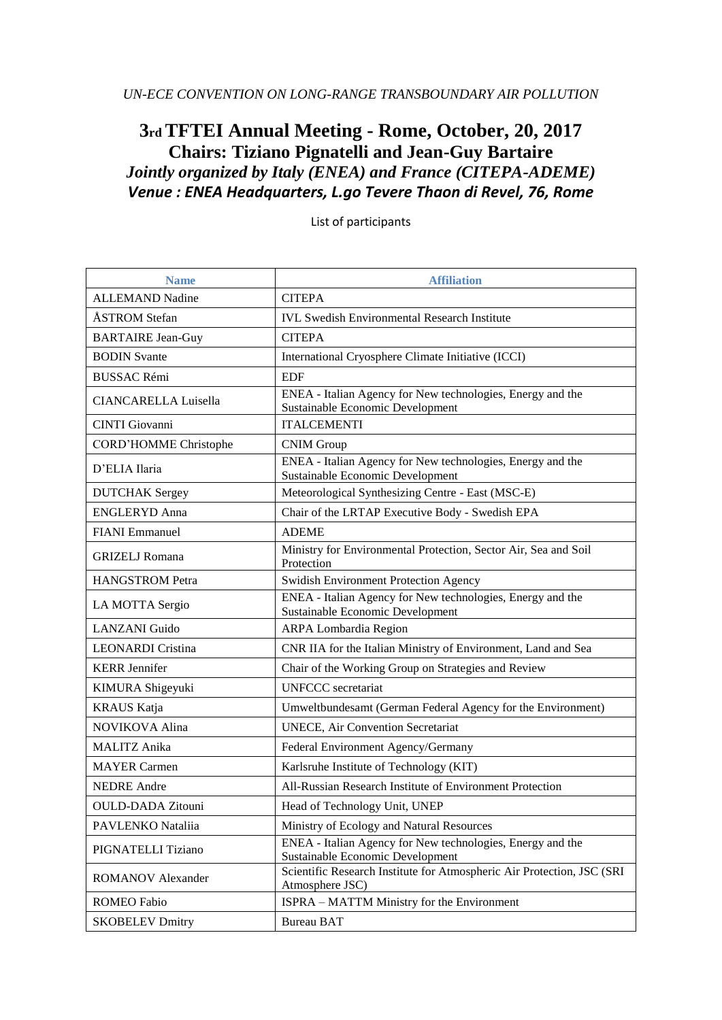## **3rd TFTEI Annual Meeting - Rome, October, 20, 2017 Chairs: Tiziano Pignatelli and Jean-Guy Bartaire** *Jointly organized by Italy (ENEA) and France (CITEPA-ADEME)*

*Venue : ENEA Headquarters, L.go Tevere Thaon di Revel, 76, Rome*

| <b>Name</b>                  | <b>Affiliation</b>                                                                             |
|------------------------------|------------------------------------------------------------------------------------------------|
| <b>ALLEMAND Nadine</b>       | <b>CITEPA</b>                                                                                  |
| ÅSTROM Stefan                | <b>IVL Swedish Environmental Research Institute</b>                                            |
| <b>BARTAIRE Jean-Guy</b>     | <b>CITEPA</b>                                                                                  |
| <b>BODIN</b> Svante          | International Cryosphere Climate Initiative (ICCI)                                             |
| <b>BUSSAC Rémi</b>           | <b>EDF</b>                                                                                     |
| <b>CIANCARELLA Luisella</b>  | ENEA - Italian Agency for New technologies, Energy and the<br>Sustainable Economic Development |
| <b>CINTI</b> Giovanni        | <b>ITALCEMENTI</b>                                                                             |
| <b>CORD'HOMME Christophe</b> | <b>CNIM Group</b>                                                                              |
| D'ELIA Ilaria                | ENEA - Italian Agency for New technologies, Energy and the<br>Sustainable Economic Development |
| <b>DUTCHAK</b> Sergey        | Meteorological Synthesizing Centre - East (MSC-E)                                              |
| <b>ENGLERYD Anna</b>         | Chair of the LRTAP Executive Body - Swedish EPA                                                |
| <b>FIANI</b> Emmanuel        | <b>ADEME</b>                                                                                   |
| <b>GRIZELJ</b> Romana        | Ministry for Environmental Protection, Sector Air, Sea and Soil<br>Protection                  |
| <b>HANGSTROM Petra</b>       | <b>Swidish Environment Protection Agency</b>                                                   |
| LA MOTTA Sergio              | ENEA - Italian Agency for New technologies, Energy and the<br>Sustainable Economic Development |
| <b>LANZANI</b> Guido         | ARPA Lombardia Region                                                                          |
| <b>LEONARDI</b> Cristina     | CNR IIA for the Italian Ministry of Environment, Land and Sea                                  |
| <b>KERR</b> Jennifer         | Chair of the Working Group on Strategies and Review                                            |
| KIMURA Shigeyuki             | <b>UNFCCC</b> secretariat                                                                      |
| <b>KRAUS Katja</b>           | Umweltbundesamt (German Federal Agency for the Environment)                                    |
| <b>NOVIKOVA Alina</b>        | UNECE, Air Convention Secretariat                                                              |
| <b>MALITZ</b> Anika          | Federal Environment Agency/Germany                                                             |
| <b>MAYER Carmen</b>          | Karlsruhe Institute of Technology (KIT)                                                        |
| <b>NEDRE</b> Andre           | All-Russian Research Institute of Environment Protection                                       |
| <b>OULD-DADA Zitouni</b>     | Head of Technology Unit, UNEP                                                                  |
| PAVLENKO Nataliia            | Ministry of Ecology and Natural Resources                                                      |
| PIGNATELLI Tiziano           | ENEA - Italian Agency for New technologies, Energy and the<br>Sustainable Economic Development |
| <b>ROMANOV</b> Alexander     | Scientific Research Institute for Atmospheric Air Protection, JSC (SRI<br>Atmosphere JSC)      |
| <b>ROMEO</b> Fabio           | ISPRA – MATTM Ministry for the Environment                                                     |
| <b>SKOBELEV Dmitry</b>       | <b>Bureau BAT</b>                                                                              |

List of participants